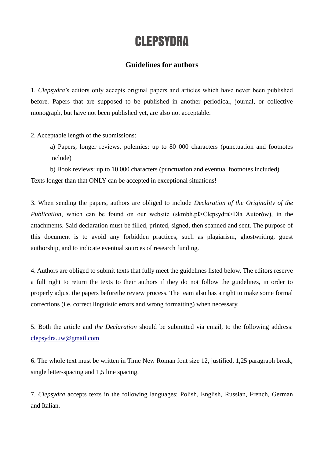# **CLEPSYDRA**

## **Guidelines for authors**

1. *Clepsydra*'s editors only accepts original papers and articles which have never been published before. Papers that are supposed to be published in another periodical, journal, or collective monograph, but have not been published yet, are also not acceptable.

2. Acceptable length of the submissions:

a) Papers, longer reviews, polemics: up to 80 000 characters (punctuation and footnotes include)

b) Book reviews: up to 10 000 characters (punctuation and eventual footnotes included) Texts longer than that ONLY can be accepted in exceptional situations!

3. When sending the papers, authors are obliged to include *Declaration of the Originality of the Publication*, which can be found on our website (skmbh.pl>Clepsydra>Dla Autorów), in the attachments. Said declaration must be filled, printed, signed, then scanned and sent. The purpose of this document is to avoid any forbidden practices, such as plagiarism, ghostwriting, guest authorship, and to indicate eventual sources of research funding.

4. Authors are obliged to submit texts that fully meet the guidelines listed below. The editors reserve a full right to return the texts to their authors if they do not follow the guidelines, in order to properly adjust the papers beforethe review process. The team also has a right to make some formal corrections (i.e. correct linguistic errors and wrong formatting) when necessary.

5. Both the article and *the Declaration* should be submitted via email, to the following address: [clepsydra.uw@gmail.com](mailto:kontakt.skmbh@gmail.com)

6. The whole text must be written in Time New Roman font size 12, justified, 1,25 paragraph break, single letter-spacing and 1,5 line spacing.

7. *Clepsydra* accepts texts in the following languages: Polish, English, Russian, French, German and Italian.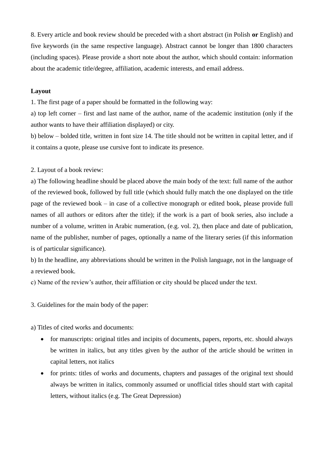8. Every article and book review should be preceded with a short abstract (in Polish **or** English) and five keywords (in the same respective language). Abstract cannot be longer than 1800 characters (including spaces). Please provide a short note about the author, which should contain: information about the academic title/degree, affiliation, academic interests, and email address.

#### **Layout**

1. The first page of a paper should be formatted in the following way:

a) top left corner – first and last name of the author, name of the academic institution (only if the author wants to have their affiliation displayed) or city.

b) below – bolded title, written in font size 14. The title should not be written in capital letter, and if it contains a quote, please use cursive font to indicate its presence.

2. Layout of a book review:

a) The following headline should be placed above the main body of the text: full name of the author of the reviewed book, followed by full title (which should fully match the one displayed on the title page of the reviewed book – in case of a collective monograph or edited book, please provide full names of all authors or editors after the title); if the work is a part of book series, also include a number of a volume, written in Arabic numeration, (e.g. vol. 2), then place and date of publication, name of the publisher, number of pages, optionally a name of the literary series (if this information is of particular significance).

b) In the headline, any abbreviations should be written in the Polish language, not in the language of a reviewed book.

c) Name of the review's author, their affiliation or city should be placed under the text.

3. Guidelines for the main body of the paper:

a) Titles of cited works and documents:

- for manuscripts: original titles and incipits of documents, papers, reports, etc. should always be written in italics, but any titles given by the author of the article should be written in capital letters, not italics
- for prints: titles of works and documents, chapters and passages of the original text should always be written in italics, commonly assumed or unofficial titles should start with capital letters, without italics (e.g. The Great Depression)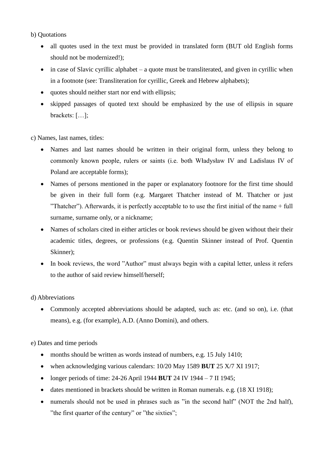#### b) Quotations

- all quotes used in the text must be provided in translated form (BUT old English forms should not be modernized!);
- $\bullet$  in case of Slavic cyrillic alphabet a quote must be transliterated, and given in cyrillic when in a footnote (see: Transliteration for cyrillic, Greek and Hebrew alphabets);
- quotes should neither start nor end with ellipsis;
- skipped passages of quoted text should be emphasized by the use of ellipsis in square brackets: […];

c) Names, last names, titles:

- Names and last names should be written in their original form, unless they belong to commonly known people, rulers or saints (i.e. both Władysław IV and Ladislaus IV of Poland are acceptable forms);
- Names of persons mentioned in the paper or explanatory footnore for the first time should be given in their full form (e.g. Margaret Thatcher instead of M. Thatcher or just "Thatcher"). Afterwards, it is perfectly acceptable to to use the first initial of the name + full surname, surname only, or a nickname;
- Names of scholars cited in either articles or book reviews should be given without their their academic titles, degrees, or professions (e.g. Quentin Skinner instead of Prof. Quentin Skinner);
- In book reviews, the word "Author" must always begin with a capital letter, unless it refers to the author of said review himself/herself;

### d) Abbreviations

• Commonly accepted abbreviations should be adapted, such as: etc. (and so on), i.e. (that means), e.g. (for example), A.D. (Anno Domini), and others.

e) Dates and time periods

- months should be written as words instead of numbers, e.g. 15 July 1410;
- when acknowledging various calendars: 10/20 May 1589 **BUT** 25 X/7 XI 1917;
- longer periods of time: 24-26 April 1944 **BUT** 24 IV 1944 7 II 1945;
- dates mentioned in brackets should be written in Roman numerals. e.g. (18 XI 1918);
- numerals should not be used in phrases such as "in the second half" (NOT the 2nd half), "the first quarter of the century" or "the sixties";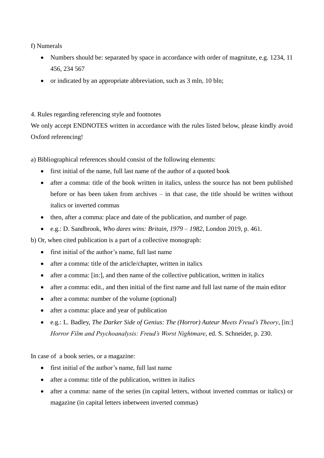f) Numerals

- Numbers should be: separated by space in accordance with order of magnitute, e.g. 1234, 11 456, 234 567
- or indicated by an appropriate abbreviation, such as  $3 \text{ mln}$ ,  $10 \text{ bh}$ ;

4. Rules regarding referencing style and footnotes

We only accept ENDNOTES written in accordance with the rules listed below, please kindly avoid Oxford referencing!

a) Bibliographical references should consist of the following elements:

- first initial of the name, full last name of the author of a quoted book
- after a comma: title of the book written in italics, unless the source has not been published before or has been taken from archives – in that case, the title should be written without italics or inverted commas
- then, after a comma: place and date of the publication, and number of page.
- e.g.: D. Sandbrook, *Who dares wins: Britain, 1979 – 1982*, London 2019, p. 461.

b) Or, when cited publication is a part of a collective monograph:

- first initial of the author's name, full last name
- after a comma: title of the article/chapter, written in italics
- after a comma: [in:], and then name of the collective publication, written in italics
- after a comma: edit., and then initial of the first name and full last name of the main editor
- after a comma: number of the volume (optional)
- after a comma: place and year of publication
- e.g.: L. Badley, *The Darker Side of Genius: The (Horror) Auteur Meets Freud's Theory*, [in:] *Horror Film and Psychoanalysis: Freud's Worst Nightmare*, ed. S. Schneider, p. 230.

In case of a book series, or a magazine:

- first initial of the author's name, full last name
- after a comma: title of the publication, written in italics
- after a comma: name of the series (in capital letters, without inverted commas or italics) or magazine (in capital letters inbetween inverted commas)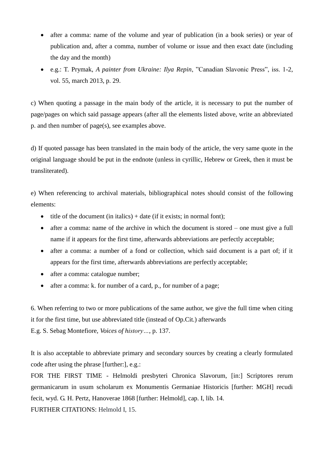- after a comma: name of the volume and year of publication (in a book series) or year of publication and, after a comma, number of volume or issue and then exact date (including the day and the month)
- e.g.: T. Prymak, *A painter from Ukraine: Ilya Repin*, "Canadian Slavonic Press", iss. 1-2, vol. 55, march 2013, p. 29.

c) When quoting a passage in the main body of the article, it is necessary to put the number of page/pages on which said passage appears (after all the elements listed above, write an abbreviated p. and then number of page(s), see examples above.

d) If quoted passage has been translated in the main body of the article, the very same quote in the original language should be put in the endnote (unless in cyrillic, Hebrew or Greek, then it must be transliterated).

e) When referencing to archival materials, bibliographical notes should consist of the following elements:

- title of the document (in italics) + date (if it exists; in normal font);
- after a comma: name of the archive in which the document is stored one must give a full name if it appears for the first time, afterwards abbreviations are perfectly acceptable;
- after a comma: a number of a fond or collection, which said document is a part of; if it appears for the first time, afterwards abbreviations are perfectly acceptable;
- after a comma: catalogue number;
- after a comma: k. for number of a card, p., for number of a page;

6. When referring to two or more publications of the same author, we give the full time when citing it for the first time, but use abbreviated title (instead of Op.Cit.) afterwards E.g. S. Sebag Montefiore, *Voices of history…*, p. 137.

It is also acceptable to abbreviate primary and secondary sources by creating a clearly formulated code after using the phrase [further:], e.g.:

FOR THE FIRST TIME - Helmoldi presbyteri Chronica Slavorum, [in:] Scriptores rerum germanicarum in usum scholarum ex Monumentis Germaniae Historicis [further: MGH] recudi fecit, wyd. G. H. Pertz, Hanoverae 1868 [further: Helmold], cap. I, lib. 14. FURTHER CITATIONS: Helmold I, 15.